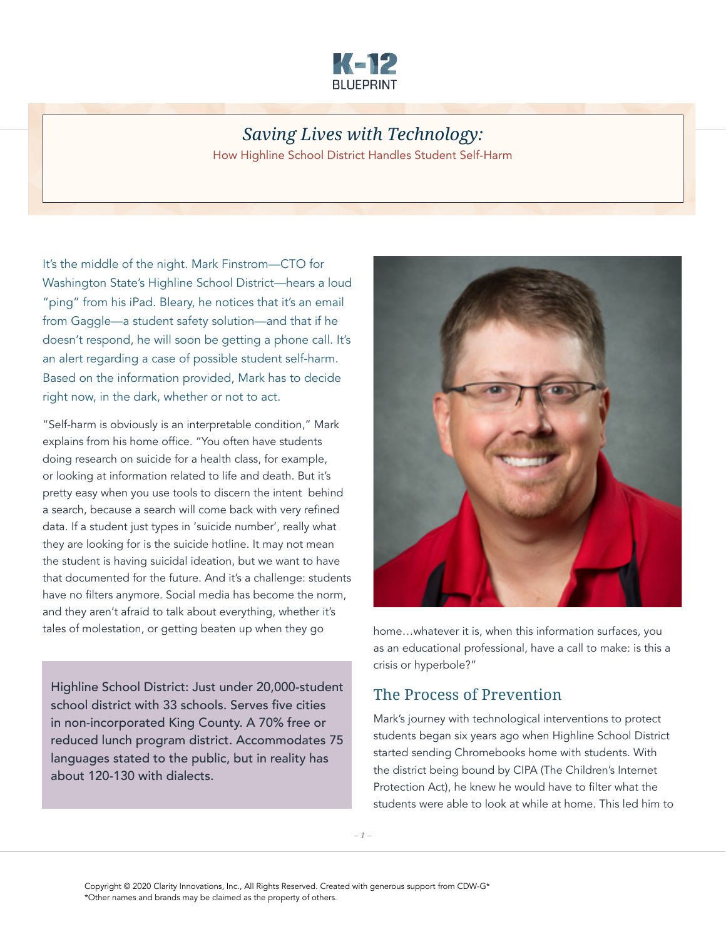

# *Saving Lives with Technology:*

How Highline School District Handles Student Self-Harm

It's the middle of the night. Mark Finstrom—CTO for Washington State's Highline School District—hears a loud "ping" from his iPad. Bleary, he notices that it's an email from Gaggle—a student safety solution—and that if he doesn't respond, he will soon be getting a phone call. It's an alert regarding a case of possible student self-harm. Based on the information provided, Mark has to decide right now, in the dark, whether or not to act.

"Self-harm is obviously is an interpretable condition," Mark explains from his home office. "You often have students doing research on suicide for a health class, for example, or looking at information related to life and death. But it's pretty easy when you use tools to discern the intent behind a search, because a search will come back with very refined data. If a student just types in 'suicide number', really what they are looking for is the suicide hotline. It may not mean the student is having suicidal ideation, but we want to have that documented for the future. And it's a challenge: students have no filters anymore. Social media has become the norm, and they aren't afraid to talk about everything, whether it's tales of molestation, or getting beaten up when they go home...whatever it is, when this information surfaces, you

Highline School District: Just under 20,000-student school district with 33 schools. Serves five cities in non-incorporated King County. A 70% free or reduced lunch program district. Accommodates 75 languages stated to the public, but in reality has about 120-130 with dialects.



as an educational professional, have a call to make: is this a crisis or hyperbole?"

# The Process of Prevention

Mark's journey with technological interventions to protect students began six years ago when Highline School District started sending Chromebooks home with students. With the district being bound by CIPA (The Children's Internet Protection Act), he knew he would have to filter what the students were able to look at while at home. This led him to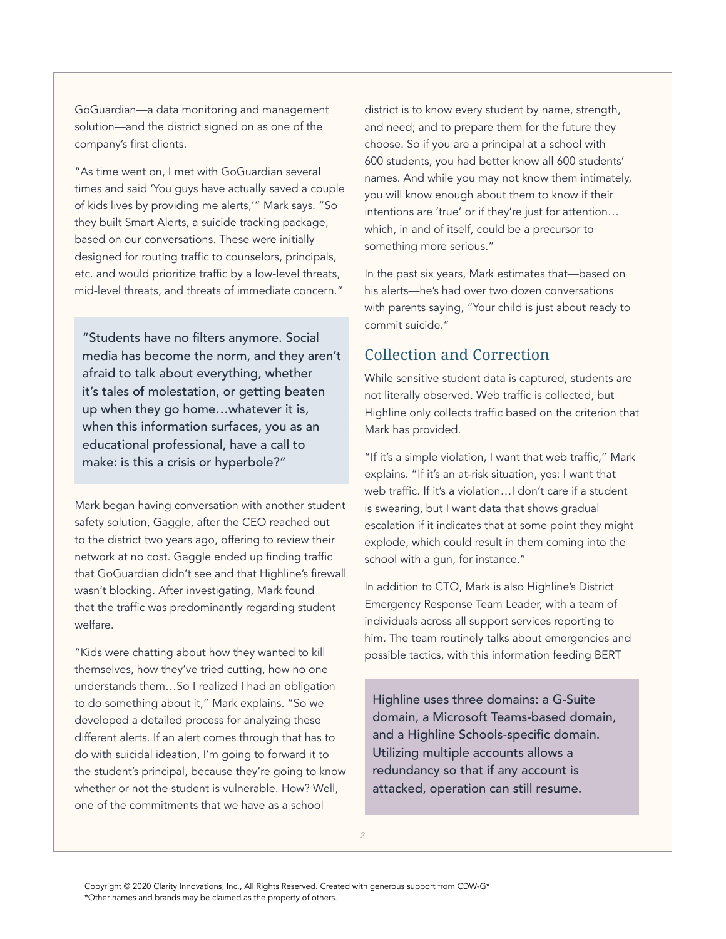GoGuardian—a data monitoring and management solution—and the district signed on as one of the company's first clients.

"As time went on, I met with GoGuardian several times and said 'You guys have actually saved a couple of kids lives by providing me alerts,'" Mark says. "So they built Smart Alerts, a suicide tracking package, based on our conversations. These were initially designed for routing traffic to counselors, principals, etc. and would prioritize traffic by a low-level threats, mid-level threats, and threats of immediate concern."

"Students have no filters anymore. Social media has become the norm, and they aren't afraid to talk about everything, whether it's tales of molestation, or getting beaten up when they go home…whatever it is, when this information surfaces, you as an educational professional, have a call to make: is this a crisis or hyperbole?"

Mark began having conversation with another student safety solution, Gaggle, after the CEO reached out to the district two years ago, offering to review their network at no cost. Gaggle ended up finding traffic that GoGuardian didn't see and that Highline's firewall wasn't blocking. After investigating, Mark found that the traffic was predominantly regarding student welfare.

"Kids were chatting about how they wanted to kill themselves, how they've tried cutting, how no one understands them…So I realized I had an obligation to do something about it," Mark explains. "So we developed a detailed process for analyzing these different alerts. If an alert comes through that has to do with suicidal ideation, I'm going to forward it to the student's principal, because they're going to know whether or not the student is vulnerable. How? Well, one of the commitments that we have as a school

district is to know every student by name, strength, and need; and to prepare them for the future they choose. So if you are a principal at a school with 600 students, you had better know all 600 students' names. And while you may not know them intimately, you will know enough about them to know if their intentions are 'true' or if they're just for attention… which, in and of itself, could be a precursor to something more serious."

In the past six years, Mark estimates that—based on his alerts—he's had over two dozen conversations with parents saying, "Your child is just about ready to commit suicide."

# Collection and Correction

While sensitive student data is captured, students are not literally observed. Web traffic is collected, but Highline only collects traffic based on the criterion that Mark has provided.

"If it's a simple violation, I want that web traffic," Mark explains. "If it's an at-risk situation, yes: I want that web traffic. If it's a violation…I don't care if a student is swearing, but I want data that shows gradual escalation if it indicates that at some point they might explode, which could result in them coming into the school with a gun, for instance."

In addition to CTO, Mark is also Highline's District Emergency Response Team Leader, with a team of individuals across all support services reporting to him. The team routinely talks about emergencies and possible tactics, with this information feeding BERT

Highline uses three domains: a G-Suite domain, a Microsoft Teams-based domain, and a Highline Schools-specific domain. Utilizing multiple accounts allows a redundancy so that if any account is attacked, operation can still resume.

*– 2 –*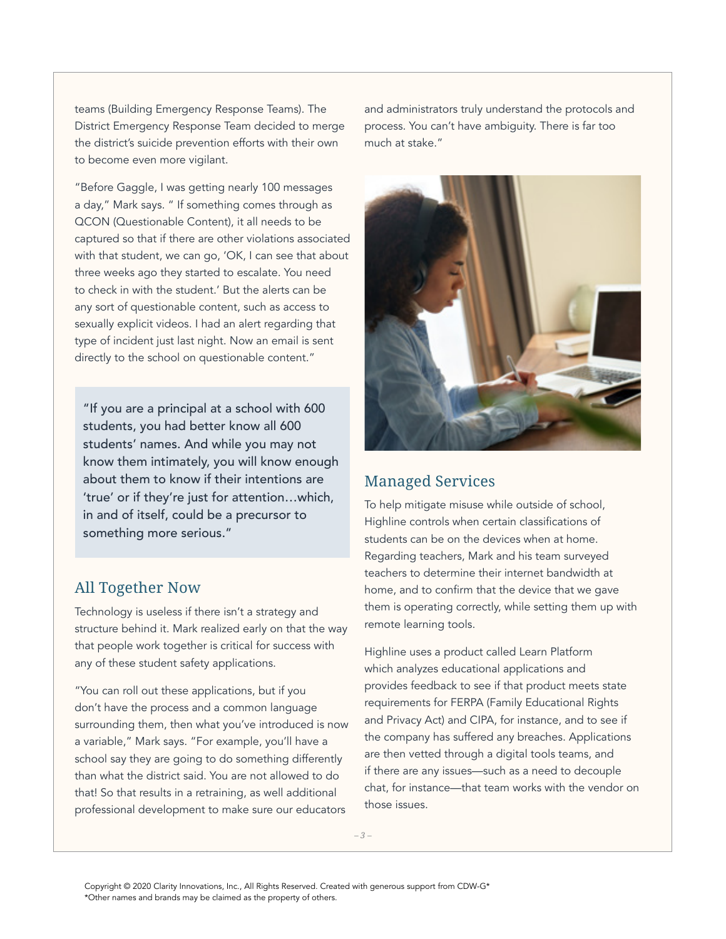teams (Building Emergency Response Teams). The District Emergency Response Team decided to merge the district's suicide prevention efforts with their own to become even more vigilant.

"Before Gaggle, I was getting nearly 100 messages a day," Mark says. " If something comes through as QCON (Questionable Content), it all needs to be captured so that if there are other violations associated with that student, we can go, 'OK, I can see that about three weeks ago they started to escalate. You need to check in with the student.' But the alerts can be any sort of questionable content, such as access to sexually explicit videos. I had an alert regarding that type of incident just last night. Now an email is sent directly to the school on questionable content."

"If you are a principal at a school with 600 students, you had better know all 600 students' names. And while you may not know them intimately, you will know enough about them to know if their intentions are 'true' or if they're just for attention…which, in and of itself, could be a precursor to something more serious."

# All Together Now

Technology is useless if there isn't a strategy and structure behind it. Mark realized early on that the way that people work together is critical for success with any of these student safety applications.

"You can roll out these applications, but if you don't have the process and a common language surrounding them, then what you've introduced is now a variable," Mark says. "For example, you'll have a school say they are going to do something differently than what the district said. You are not allowed to do that! So that results in a retraining, as well additional professional development to make sure our educators

and administrators truly understand the protocols and process. You can't have ambiguity. There is far too much at stake."



#### Managed Services

To help mitigate misuse while outside of school, Highline controls when certain classifications of students can be on the devices when at home. Regarding teachers, Mark and his team surveyed teachers to determine their internet bandwidth at home, and to confirm that the device that we gave them is operating correctly, while setting them up with remote learning tools.

Highline uses a product called Learn Platform which analyzes educational applications and provides feedback to see if that product meets state requirements for FERPA (Family Educational Rights and Privacy Act) and CIPA, for instance, and to see if the company has suffered any breaches. Applications are then vetted through a digital tools teams, and if there are any issues—such as a need to decouple chat, for instance—that team works with the vendor on those issues.

*– 3 –*